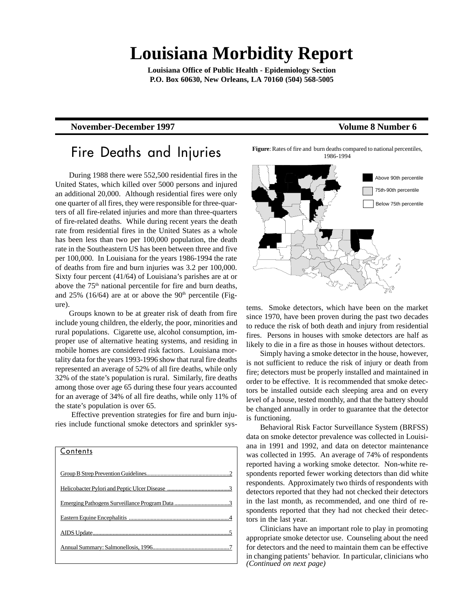# **Louisiana Morbidity Report**

**Louisiana Office of Public Health - Epidemiology Section P.O. Box 60630, New Orleans, LA 70160 (504) 568-5005**

### **November-December 1997** Volume 8 Number 6

### Fire Deaths and Injuries

During 1988 there were 552,500 residential fires in the United States, which killed over 5000 persons and injured an additional 20,000. Although residential fires were only one quarter of all fires, they were responsible for three-quarters of all fire-related injuries and more than three-quarters of fire-related deaths. While during recent years the death rate from residential fires in the United States as a whole has been less than two per 100,000 population, the death rate in the Southeastern US has been between three and five per 100,000. In Louisiana for the years 1986-1994 the rate of deaths from fire and burn injuries was 3.2 per 100,000. Sixty four percent (41/64) of Louisiana's parishes are at or above the 75<sup>th</sup> national percentile for fire and burn deaths, and  $25\%$  (16/64) are at or above the  $90<sup>th</sup>$  percentile (Figure).

Groups known to be at greater risk of death from fire include young children, the elderly, the poor, minorities and rural populations. Cigarette use, alcohol consumption, improper use of alternative heating systems, and residing in mobile homes are considered risk factors. Louisiana mortality data for the years 1993-1996 show that rural fire deaths represented an average of 52% of all fire deaths, while only 32% of the state's population is rural. Similarly, fire deaths among those over age 65 during these four years accounted for an average of 34% of all fire deaths, while only 11% of the state's population is over 65.

 Effective prevention strategies for fire and burn injuries include functional smoke detectors and sprinkler sys-

# **Contents** Group B Strep Prevention Guidelines...........................................................2 Helicobacter Pylori and Peptic Ulcer Disease Emerging Pathogens Surveillance Program Data ......................................3 Eastern Equine Encephalitis .....................................................................4 AIDS Update...............................................................................................5 Annual Summary: Salmonellosis, 1996.....................................................7





tems. Smoke detectors, which have been on the market since 1970, have been proven during the past two decades to reduce the risk of both death and injury from residential fires. Persons in houses with smoke detectors are half as likely to die in a fire as those in houses without detectors.

Simply having a smoke detector in the house, however, is not sufficient to reduce the risk of injury or death from fire; detectors must be properly installed and maintained in order to be effective. It is recommended that smoke detectors be installed outside each sleeping area and on every level of a house, tested monthly, and that the battery should be changed annually in order to guarantee that the detector is functioning.

Behavioral Risk Factor Surveillance System (BRFSS) data on smoke detector prevalence was collected in Louisiana in 1991 and 1992, and data on detector maintenance was collected in 1995. An average of 74% of respondents reported having a working smoke detector. Non-white respondents reported fewer working detectors than did white respondents. Approximately two thirds of respondents with detectors reported that they had not checked their detectors in the last month, as recommended, and one third of respondents reported that they had not checked their detectors in the last year.

*(Continued on next page)* Clinicians have an important role to play in promoting appropriate smoke detector use. Counseling about the need for detectors and the need to maintain them can be effective in changing patients' behavior. In particular, clinicians who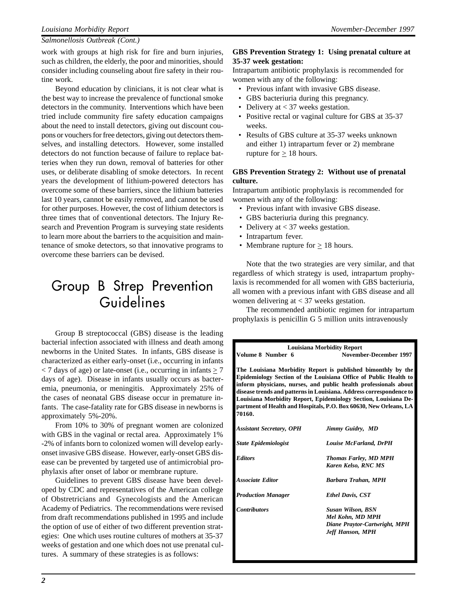#### *Salmonellosis Outbreak (Cont.)*

work with groups at high risk for fire and burn injuries, such as children, the elderly, the poor and minorities, should consider including counseling about fire safety in their routine work.

Beyond education by clinicians, it is not clear what is the best way to increase the prevalence of functional smoke detectors in the community. Interventions which have been tried include community fire safety education campaigns about the need to install detectors, giving out discount coupons or vouchers for free detectors, giving out detectors themselves, and installing detectors. However, some installed detectors do not function because of failure to replace batteries when they run down, removal of batteries for other uses, or deliberate disabling of smoke detectors. In recent years the development of lithium-powered detectors has overcome some of these barriers, since the lithium batteries last 10 years, cannot be easily removed, and cannot be used for other purposes. However, the cost of lithium detectors is three times that of conventional detectors. The Injury Research and Prevention Program is surveying state residents to learn more about the barriers to the acquisition and maintenance of smoke detectors, so that innovative programs to overcome these barriers can be devised.

# Group B Strep Prevention Guidelines

Group B streptococcal (GBS) disease is the leading bacterial infection associated with illness and death among newborns in the United States. In infants, GBS disease is characterized as either early-onset (i.e., occurring in infants  $\langle 7 \rangle$  days of age) or late-onset (i.e., occurring in infants  $\geq 7$ days of age). Disease in infants usually occurs as bacteremia, pneumonia, or meningitis. Approximately 25% of the cases of neonatal GBS disease occur in premature infants. The case-fatality rate for GBS disease in newborns is approximately 5%-20%.

From 10% to 30% of pregnant women are colonized with GBS in the vaginal or rectal area. Approximately 1% -2% of infants born to colonized women will develop earlyonset invasive GBS disease. However, early-onset GBS disease can be prevented by targeted use of antimicrobial prophylaxis after onset of labor or membrane rupture.

Guidelines to prevent GBS disease have been developed by CDC and representatives of the American college of Obstretricians and Gynecologists and the American Academy of Pediatrics. The recommendations were revised from draft recommendations published in 1995 and include the option of use of either of two different prevention strategies: One which uses routine cultures of mothers at 35-37 weeks of gestation and one which does not use prenatal cultures. A summary of these strategies is as follows:

### *2*

#### **GBS Prevention Strategy 1: Using prenatal culture at 35-37 week gestation:**

Intrapartum antibiotic prophylaxis is recommended for women with any of the following:

- Previous infant with invasive GBS disease.
- GBS bacteriuria during this pregnancy.
- Delivery at < 37 weeks gestation.
- Positive rectal or vaginal culture for GBS at 35-37 weeks.
- Results of GBS culture at 35-37 weeks unknown and either 1) intrapartum fever or 2) membrane rupture for  $\geq 18$  hours.

### **GBS Prevention Strategy 2: Without use of prenatal culture.**

Intrapartum antibiotic prophylaxis is recommended for women with any of the following:

- Previous infant with invasive GBS disease.
- GBS bacteriuria during this pregnancy.
- Delivery at < 37 weeks gestation.
- Intrapartum fever.
- Membrane rupture for  $\geq 18$  hours.

Note that the two strategies are very similar, and that regardless of which strategy is used, intrapartum prophylaxis is recommended for all women with GBS bacteriuria, all women with a previous infant with GBS disease and all women delivering at < 37 weeks gestation.

The recommended antibiotic regimen for intrapartum prophylaxis is penicillin G 5 million units intravenously

|                                 | <b>Louisiana Morbidity Report</b>                                                                                                                                                                                                                                                                                                                                                                                   |
|---------------------------------|---------------------------------------------------------------------------------------------------------------------------------------------------------------------------------------------------------------------------------------------------------------------------------------------------------------------------------------------------------------------------------------------------------------------|
| Volume 8 Number 6               | November-December 1997                                                                                                                                                                                                                                                                                                                                                                                              |
| 70160.                          | The Louisiana Morbidity Report is published bimonthly by the<br>Epidemiology Section of the Louisiana Office of Public Health to<br>inform physicians, nurses, and public health professionals about<br>disease trends and patterns in Louisiana. Address correspondence to<br>Louisiana Morbidity Report, Epidemiology Section, Louisiana De-<br>partment of Health and Hospitals, P.O. Box 60630, New Orleans, LA |
| <b>Assistant Secretary, OPH</b> | Jimmy Guidry, MD                                                                                                                                                                                                                                                                                                                                                                                                    |
| <b>State Epidemiologist</b>     | <b>Louise McFarland, DrPH</b>                                                                                                                                                                                                                                                                                                                                                                                       |
| <b>Editors</b>                  | <b>Thomas Farley, MD MPH</b><br>Karen Kelso, RNC MS                                                                                                                                                                                                                                                                                                                                                                 |
| <b>Associate Editor</b>         | Barbara Trahan, MPH                                                                                                                                                                                                                                                                                                                                                                                                 |
| <b>Production Manager</b>       | <b>Ethel Davis, CST</b>                                                                                                                                                                                                                                                                                                                                                                                             |
| <b>Contributors</b>             | <b>Susan Wilson, BSN</b><br>Mel Kohn, MD MPH<br>Diane Praytor-Cartwright, MPH<br><b>Jeff Hanson, MPH</b>                                                                                                                                                                                                                                                                                                            |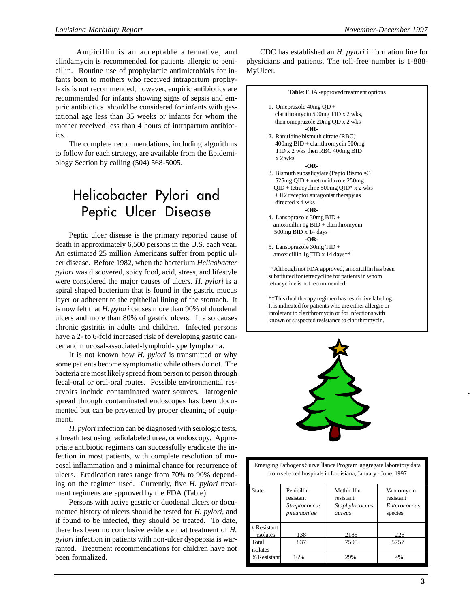Ampicillin is an acceptable alternative, and clindamycin is recommended for patients allergic to penicillin. Routine use of prophylactic antimicrobials for infants born to mothers who received intrapartum prophylaxis is not recommended, however, empiric antibiotics are recommended for infants showing signs of sepsis and empiric antibiotics should be considered for infants with gestational age less than 35 weeks or infants for whom the mother received less than 4 hours of intrapartum antibiotics.

The complete recommendations, including algorithms to follow for each strategy, are available from the Epidemiology Section by calling (504) 568-5005.

# Helicobacter Pylori and Peptic Ulcer Disease

Peptic ulcer disease is the primary reported cause of death in approximately 6,500 persons in the U.S. each year. An estimated 25 million Americans suffer from peptic ulcer disease. Before 1982, when the bacterium *Helicobacter pylori* was discovered, spicy food, acid, stress, and lifestyle were considered the major causes of ulcers. *H. pylori* is a spiral shaped bacterium that is found in the gastric mucus layer or adherent to the epithelial lining of the stomach. It is now felt that *H. pylori* causes more than 90% of duodenal ulcers and more than 80% of gastric ulcers. It also causes chronic gastritis in adults and children. Infected persons have a 2- to 6-fold increased risk of developing gastric cancer and mucosal-associated-lymphoid-type lymphoma.

It is not known how *H. pylori* is transmitted or why some patients become symptomatic while others do not. The bacteria are most likely spread from person to person through fecal-oral or oral-oral routes. Possible environmental reservoirs include contaminated water sources. Iatrogenic spread through contaminated endoscopes has been documented but can be prevented by proper cleaning of equipment.

*H. pylori* infection can be diagnosed with serologic tests, a breath test using radiolabeled urea, or endoscopy. Appropriate antibiotic regimens can successfully eradicate the infection in most patients, with complete resolution of mucosal inflammation and a minimal chance for recurrence of ulcers. Eradication rates range from 70% to 90% depending on the regimen used. Currently, five *H. pylori* treatment regimens are approved by the FDA (Table).

Persons with active gastric or duodenal ulcers or documented history of ulcers should be tested for *H. pylori*, and if found to be infected, they should be treated. To date, there has been no conclusive evidence that treatment of *H. pylori* infection in patients with non-ulcer dyspepsia is warranted. Treatment recommendations for children have not been formalized.

CDC has established an *H. pylori* information line for physicians and patients. The toll-free number is 1-888- MyUlcer.

#### **Table**: FDA -approved treatment options

- 1. Omeprazole 40mg QD + clarithromycin 500mg TID x 2 wks, then omeprazole 20mg QD x 2 wks **-OR-**
- 2. Ranitidine bismuth citrate (RBC) 400mg BID + clarithromycin 500mg TID x 2 wks then RBC 400mg BID x 2 wks

**-OR-**

- 3. Bismuth subsalicylate (Pepto Bismol®) 525mg QID + metronidazole 250mg QID + tetracycline 500mg QID\* x 2 wks + H2 receptor antagonist therapy as directed x 4 wks **-OR-**
- 4. Lansoprazole 30mg BID + amoxicillin 1g BID + clarithromycin 500mg BID x 14 days **-OR-**
- 5. Lansoprazole 30mg TID + amoxicillin 1g TID x 14 days\*\*

 \*Although not FDA approved, amoxicillin has been substituted for tetracycline for patients in whom tetracycline is not recommended.

\*\*This dual therapy regimen has restrictive labeling. It is indicated for patients who are either allergic or intolerant to clarithromycin or for infections with known or suspected resistance to clarithromycin.



Emerging Pathogens Surveillance Program aggregate laboratory data from selected hospitals in Louisiana, January - June, 1997

| State       | Penicillin<br>resistant<br><i>Streptococcus</i><br>pneumoniae | Methicillin<br>resistant<br>Staphylococcus<br>aureus | Vancomycin<br>resistant<br><i>Enterococcus</i><br>species |  |  |  |
|-------------|---------------------------------------------------------------|------------------------------------------------------|-----------------------------------------------------------|--|--|--|
| #Resistant  |                                                               |                                                      |                                                           |  |  |  |
| isolates    | 138                                                           | 2185                                                 | 226                                                       |  |  |  |
| Total       | 837                                                           | 7505                                                 | 5757                                                      |  |  |  |
| isolates    |                                                               |                                                      |                                                           |  |  |  |
| % Resistant | 16%                                                           | 29%                                                  | 4%                                                        |  |  |  |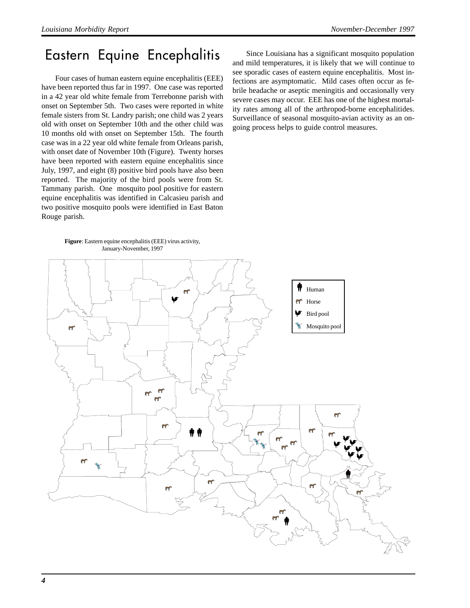## Eastern Equine Encephalitis

Four cases of human eastern equine encephalitis (EEE) have been reported thus far in 1997. One case was reported in a 42 year old white female from Terrebonne parish with onset on September 5th. Two cases were reported in white female sisters from St. Landry parish; one child was 2 years old with onset on September 10th and the other child was 10 months old with onset on September 15th. The fourth case was in a 22 year old white female from Orleans parish, with onset date of November 10th (Figure). Twenty horses have been reported with eastern equine encephalitis since July, 1997, and eight (8) positive bird pools have also been reported. The majority of the bird pools were from St. Tammany parish. One mosquito pool positive for eastern equine encephalitis was identified in Calcasieu parish and two positive mosquito pools were identified in East Baton Rouge parish.

Since Louisiana has a significant mosquito population and mild temperatures, it is likely that we will continue to see sporadic cases of eastern equine encephalitis. Most infections are asymptomatic. Mild cases often occur as febrile headache or aseptic meningitis and occasionally very severe cases may occur. EEE has one of the highest mortality rates among all of the arthropod-borne encephalitides. Surveillance of seasonal mosquito-avian activity as an ongoing process helps to guide control measures.

**Figure**: Eastern equine encephalitis (EEE) virus activity, January-November, 1997

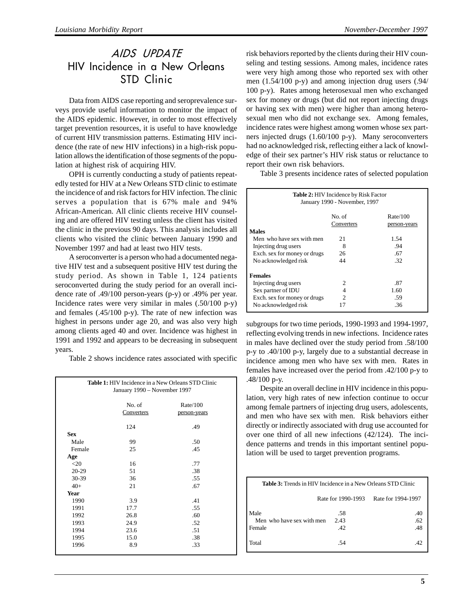### AIDS UPDATE HIV Incidence in a New Orleans STD Clinic

Data from AIDS case reporting and seroprevalence surveys provide useful information to monitor the impact of the AIDS epidemic. However, in order to most effectively target prevention resources, it is useful to have knowledge of current HIV transmission patterns. Estimating HIV incidence (the rate of new HIV infections) in a high-risk population allows the identification of those segments of the population at highest risk of acquiring HIV.

OPH is currently conducting a study of patients repeatedly tested for HIV at a New Orleans STD clinic to estimate the incidence of and risk factors for HIV infection. The clinic serves a population that is 67% male and 94% African-American. All clinic clients receive HIV counseling and are offered HIV testing unless the client has visited the clinic in the previous 90 days. This analysis includes all clients who visited the clinic between January 1990 and November 1997 and had at least two HIV tests.

A seroconverter is a person who had a documented negative HIV test and a subsequent positive HIV test during the study period. As shown in Table 1, 124 patients seroconverted during the study period for an overall incidence rate of .49/100 person-years (p-y) or .49% per year. Incidence rates were very similar in males (.50/100 p-y) and females (.45/100 p-y). The rate of new infection was highest in persons under age 20, and was also very high among clients aged 40 and over. Incidence was highest in 1991 and 1992 and appears to be decreasing in subsequent years.

Table 2 shows incidence rates associated with specific

| <b>Table 1:</b> HIV Incidence in a New Orleans STD Clinic<br>January 1990 - November 1997 |                      |                          |  |  |  |  |  |  |
|-------------------------------------------------------------------------------------------|----------------------|--------------------------|--|--|--|--|--|--|
|                                                                                           | No. of<br>Converters | Rate/100<br>person-years |  |  |  |  |  |  |
|                                                                                           | 124                  | .49                      |  |  |  |  |  |  |
| <b>Sex</b>                                                                                |                      |                          |  |  |  |  |  |  |
| Male                                                                                      | 99                   | .50                      |  |  |  |  |  |  |
| Female                                                                                    | 25                   | .45                      |  |  |  |  |  |  |
| Age                                                                                       |                      |                          |  |  |  |  |  |  |
| $<$ 20                                                                                    | 16                   | .77                      |  |  |  |  |  |  |
| 20-29                                                                                     | 51                   | .38                      |  |  |  |  |  |  |
| 30-39                                                                                     | 36                   | .55                      |  |  |  |  |  |  |
| $40+$                                                                                     | 21                   | .67                      |  |  |  |  |  |  |
| <b>Year</b>                                                                               |                      |                          |  |  |  |  |  |  |
| 1990                                                                                      | 3.9                  | .41                      |  |  |  |  |  |  |
| 1991                                                                                      | 17.7                 | .55                      |  |  |  |  |  |  |
| 1992                                                                                      | 26.8                 | .60                      |  |  |  |  |  |  |
| 1993                                                                                      | 24.9                 | .52                      |  |  |  |  |  |  |
| 1994                                                                                      | 23.6                 | .51                      |  |  |  |  |  |  |
| 1995                                                                                      | 15.0                 | .38                      |  |  |  |  |  |  |
| 1996                                                                                      | 8.9                  | .33                      |  |  |  |  |  |  |

risk behaviors reported by the clients during their HIV counseling and testing sessions. Among males, incidence rates were very high among those who reported sex with other men (1.54/100 p-y) and among injection drug users (.94/ 100 p-y). Rates among heterosexual men who exchanged sex for money or drugs (but did not report injecting drugs or having sex with men) were higher than among heterosexual men who did not exchange sex. Among females, incidence rates were highest among women whose sex partners injected drugs (1.60/100 p-y). Many seroconverters had no acknowledged risk, reflecting either a lack of knowledge of their sex partner's HIV risk status or reluctance to report their own risk behaviors.

Table 3 presents incidence rates of selected population

| <b>Table 2: HIV Incidence by Risk Factor</b><br>January 1990 - November, 1997                                                                                                                    |                     |                           |  |  |  |  |  |  |  |
|--------------------------------------------------------------------------------------------------------------------------------------------------------------------------------------------------|---------------------|---------------------------|--|--|--|--|--|--|--|
| No. of<br>Rate/100<br>Converters<br><u>person-years</u><br><b>Males</b>                                                                                                                          |                     |                           |  |  |  |  |  |  |  |
| Men who have sex with men<br>Injecting drug users<br>Exch. sex for money or drugs<br>No acknowledged risk                                                                                        | 21<br>8<br>26<br>44 | 1.54<br>.94<br>.67<br>.32 |  |  |  |  |  |  |  |
| <b>Females</b><br>Injecting drug users<br>.87<br>2<br>Sex partner of IDU<br>1.60<br>4<br>Exch. sex for money or drugs<br>$\mathcal{D}_{\mathcal{L}}$<br>.59<br>.36<br>No acknowledged risk<br>17 |                     |                           |  |  |  |  |  |  |  |

subgroups for two time periods, 1990-1993 and 1994-1997, reflecting evolving trends in new infections. Incidence rates in males have declined over the study period from .58/100 p-y to .40/100 p-y, largely due to a substantial decrease in incidence among men who have sex with men. Rates in females have increased over the period from .42/100 p-y to .48/100 p-y.

Despite an overall decline in HIV incidence in this population, very high rates of new infection continue to occur among female partners of injecting drug users, adolescents, and men who have sex with men. Risk behaviors either directly or indirectly associated with drug use accounted for over one third of all new infections (42/124). The incidence patterns and trends in this important sentinel population will be used to target prevention programs.

| <b>Table 3:</b> Trends in HIV Incidence in a New Orleans STD Clinic |                                          |          |  |  |  |  |  |  |  |
|---------------------------------------------------------------------|------------------------------------------|----------|--|--|--|--|--|--|--|
|                                                                     | Rate for 1990-1993<br>Rate for 1994-1997 |          |  |  |  |  |  |  |  |
| Male                                                                | .58                                      | .40      |  |  |  |  |  |  |  |
| Men who have sex with men                                           | 2.43                                     | .62      |  |  |  |  |  |  |  |
| l Female                                                            | .42                                      | .48      |  |  |  |  |  |  |  |
| Total                                                               | -54                                      | $\Delta$ |  |  |  |  |  |  |  |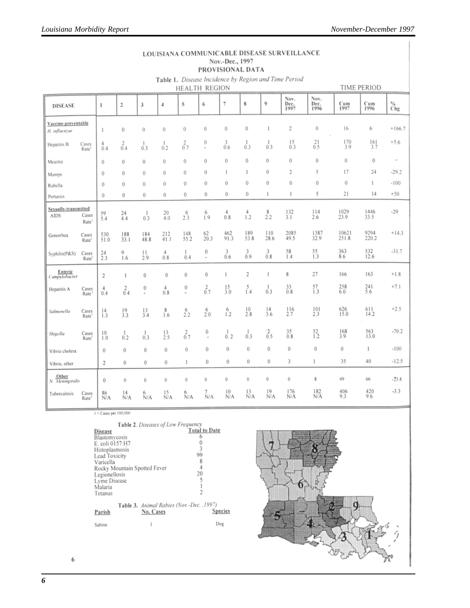#### LOUISIANA COMMUNICABLE DISEASE SURVEILLANCE Nov.-Dec., 1997 PROVISIONAL DATA

Table 1. Disease Incidence by Region and Time Period

|                                      |                            |                      |                  |                     |                       | HEALTH REGION       |                               |                  |                         |                    |                      |                                       |                   | TIME PERIOD        |          |
|--------------------------------------|----------------------------|----------------------|------------------|---------------------|-----------------------|---------------------|-------------------------------|------------------|-------------------------|--------------------|----------------------|---------------------------------------|-------------------|--------------------|----------|
| <b>DISEASE</b>                       |                            | $\,$ 1               | $\overline{2}$   | 3                   | $\frac{1}{2}$         | 5                   | 6                             | 7                | 8                       | 9                  | Nov.<br>Dec.<br>1997 | Nov.<br>Dec.<br>1996                  | Cum<br>1997       | Cum<br>1996        | %<br>Chg |
| Vaccine-preventable<br>H. influenzae |                            | 1                    | 0                | $\theta$            | $\bf{0}$              | $\bf{0}$            | $\bf{0}$                      | 0                | $\bf{0}$                | ı                  | $\overline{2}$       | 0                                     | 16                | 6                  | $+166.7$ |
| Hepatitis B                          | Cases<br>Rate              | $^{4}_{0.4}$         | $\frac{2}{0.4}$  | 1<br>0.3            | 1<br>0.2              | $rac{2}{0.7}$       | 0<br>$\bar{a}$                | 3<br>0.6         | 1<br>0.3                | 1<br>0.3           | $^{15}_{0.3}$        | $^{21}_{0.5}$                         | $^{170}_{3.9}$    | $\frac{161}{3.7}$  | $+5.6$   |
| Measles                              |                            | 0                    | 0                | 0                   | $\bf{0}$              | $\theta$            | 0                             | 0                | $\theta$                | 0                  | 0                    | $\bf{0}$                              | 0                 | $\bf{0}$           | $\sim$   |
| Mumps                                |                            | $\theta$             | 0                | $\bf{0}$            | 0                     | $\theta$            | 0                             | 1                | 1                       | 0                  | $\overline{2}$       | 5                                     | 17                | 24                 | $-29.2$  |
| Rubella                              |                            | $\theta$             | 0                | $\bf{0}$            | $\theta$              | 0                   | $\bf{0}$                      | 0                | $\bf{0}$                | 0                  | $\mathbf{0}$         | $\bf{0}$                              | 0                 | 1                  | $-100$   |
| Pertussis                            |                            | 0                    | $\bf{0}$         | $\bf{0}$            | 0                     | 0                   | 0                             | 0                | $\bf{0}$                | 1                  | 1                    | 5                                     | 21                | 4                  | $+50$    |
| Sexually-transmitted<br><b>AIDS</b>  | Cases<br>Rate <sup>1</sup> | $^{59}_{5.4}$        | $^{24}_{4.4}$    | 1<br>0.3            | $^{20}_{4.0}$         | $^{6}_{2.3}$        | 6<br>1.9                      | $^{4}_{0.8}$     | $^{4}_{1.2}$            | $_{2.2}^{8}$       | $^{132}_{3.1}$       | $^{114}_{2.6}$                        | 1029<br>23.9      | 1446<br>33.5       | $-29$    |
| Gonorrhea                            | Cases<br>Rate <sup>1</sup> | 530<br>51.0          | 188<br>33.1      | 184<br>48.8         | $^{212}_{41.1}$       | 148<br>55.2         | $^{62}_{20.3}$                | 462<br>91.3      | 189<br>53.8             | $\frac{110}{28.6}$ | 2085<br>49.5         | 1387<br>32.9                          | 10621<br>251.8    | 9294<br>220.2      | $+14.3$  |
| Syphilis(P&S)                        | Cases<br>Rate              | $^{24}_{2.3}$        | 9<br>1.6         | $\mathbf{1}$<br>2.9 | $\overline{4}$<br>0.8 | L<br>0.4            | 0<br>$\overline{\phantom{a}}$ | 3<br>0.6         | $^{3}_{0.9}$            | 3<br>0.8           | $^{58}_{1.4}$        | $^{55}_{1.3}$                         | $\frac{363}{8.6}$ | $\frac{532}{12.6}$ | $-31.7$  |
| Enteric<br>Campylobacter             |                            | $\sqrt{2}$           | 1                | $\bf{0}$            | $\bf{0}$              | 0                   | $\bf{0}$                      | 1                | $\overline{\mathbf{c}}$ | 1                  | 8                    | 27                                    | 166               | 163                | $+1.8$   |
| Hepatitis A                          | Cases<br>Rate              | $\frac{4}{3}$<br>0.4 | $\frac{2}{0.4}$  | 0<br>÷,             | $^{4}_{0.8}$          | 0<br>$\overline{a}$ | $^{2}_{0.7}$                  | $\frac{15}{3.0}$ | $^{5}_{1.4}$            | $^{1}_{0.3}$       | $^{33}_{0.8}$        | $^{57}_{1.3}$                         | $^{258}_{6.0}$    | $^{241}_{5.6}$     | $+7.1$   |
| Salmonella                           | Cases<br>Rate              | $^{14}_{1.3}$        | $\frac{19}{3.3}$ | $^{13}_{3.4}$       | 8<br>1.6              | $^{6}_{2.2}$        | $^{6}_{2.0}$                  | 6<br>1.2         | 10<br>2.8               | $^{14}_{3.6}$      | 116<br>2.7           | $^{101}_{2.3}$                        | $^{626}_{15.0}$   | $^{611}_{14.2}$    | $+2.5$   |
| Shigella                             | Cases<br>Rate              | 10<br>1.0            | 1<br>0.2         | 1<br>0.3            | $^{13}_{2.5}$         | $^{2}_{0.7}$        | 0<br>÷,                       | 0.2              | 1<br>0.3                | $^{2}_{0.5}$       | $^{35}_{0.8}$        | $^{52}_{1.2}$                         | $\frac{168}{3.9}$ | 563<br>13.0        | $-70.2$  |
| Vibrio cholera                       |                            | $\bf{0}$             | 0                | 0                   | 0                     | 0                   | $\bf{0}$                      | $\boldsymbol{0}$ | 0                       | 0                  | 0                    | $\begin{array}{c} 0 \\ 0 \end{array}$ | 0                 | 1                  | $-100$   |
| Vibrio, other                        |                            | 2                    | 0                | 0                   | 0                     | I.                  | $\bf{0}$                      | $\bf{0}$         | $\boldsymbol{0}$        | 0                  | 3                    | 1                                     | 35                | 40                 | $-12.5$  |
| N. Meningitidis                      |                            | 0                    | 0                | Ü                   | 0                     | 0                   | $\bf{0}$                      | 0                | 0                       | 0                  | 0                    | 8                                     | 49                | 66                 | $-25.8$  |
| Tuberculosis                         | Cases<br>Rate              | 86<br>N/A            | 14<br>N/A        | 6<br>N/A            | 15<br>N/A             | 6<br>N/A            | 7<br>N/A                      | 10<br>N/A        | 13<br>N/A               | 19<br>Ń/A          | 176<br>N/A           | 182<br>N/A                            | 406<br>9.3        | $^{420}_{9.6}$     | $-3.3$   |

 $1 -$ Cases per 100,000

| Table 2. Diseases of Low Frequency |                      |  |
|------------------------------------|----------------------|--|
| Disease                            | <b>Total to Date</b> |  |
| Blastomycosis                      |                      |  |
| E. coli 0157:H7                    |                      |  |
| Historylogenesis                   |                      |  |

| E. coli 0157:H7 |                                                       |                |  |
|-----------------|-------------------------------------------------------|----------------|--|
| Histoplasmosis  |                                                       |                |  |
| Lead Toxicity   |                                                       | 99             |  |
| Varicella       |                                                       | 8              |  |
|                 | Rocky Mountain Spotted Fever                          |                |  |
| Legionellosis   |                                                       | 20             |  |
| Lyme Disease    |                                                       |                |  |
| Malaria         |                                                       |                |  |
| Tetanus         |                                                       |                |  |
| Parish          | Table 3. Animal Rabies (Nov.-Dec., 1997)<br>No. Cases | <b>Species</b> |  |
| Sabine          |                                                       | Dog            |  |

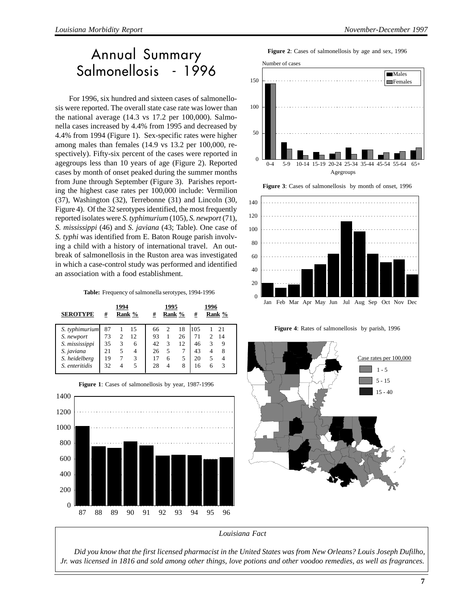# Annual Summary Salmonellosis - 1996

For 1996, six hundred and sixteen cases of salmonellosis were reported. The overall state case rate was lower than the national average (14.3 vs 17.2 per 100,000). Salmonella cases increased by 4.4% from 1995 and decreased by 4.4% from 1994 (Figure 1). Sex-specific rates were higher among males than females (14.9 vs 13.2 per 100,000, respectively). Fifty-six percent of the cases were reported in agegroups less than 10 years of age (Figure 2). Reported cases by month of onset peaked during the summer months from June through September (Figure 3). Parishes reporting the highest case rates per 100,000 include: Vermilion (37), Washington (32), Terrebonne (31) and Lincoln (30, Figure 4). Of the 32 serotypes identified, the most frequently reported isolates were *S. typhimurium* (105), *S. newport* (71), *S. mississippi* (46) and *S. javiana* (43; Table). One case of *S. typhi* was identified from E. Baton Rouge parish involving a child with a history of international travel. An outbreak of salmonellosis in the Ruston area was investigated in which a case-control study was performed and identified an association with a food establishment.

**Table:** Frequency of salmonella serotypes, 1994-1996

| <b>SEROTYPE</b> | #  | 1994 | Rank % | #  | 1995<br>Rank %              |    | #    | 1996 | Rank % |
|-----------------|----|------|--------|----|-----------------------------|----|------|------|--------|
| S. typhimurium  | 87 |      | 15     | 66 | $\mathcal{D}_{\mathcal{L}}$ | 18 | 1105 |      | 21     |
| S. newport      | 73 |      | 12     | 93 |                             | 26 | 71   |      | 14     |
| S. mississippi  | 35 | 3    | 6      | 42 | $\mathcal{R}$               | 12 | 46   | 3    | 9      |
| S. javiana      | 21 | 5    | 4      | 26 | 5                           |    | 43   |      | 8      |
| S. heidelberg   | 19 |      | 3      | 17 | 6                           | 5  | 20   | 5    |        |
| S. enteritidis  | 32 |      | 5      | 28 | 4                           | 8  | 16   | 6    |        |



**Figure 1**: Cases of salmonellosis by year, 1987-1996



Agegroups



**Figure 4**: Rates of salmonellosis by parish, 1996



*Louisiana Fact*

*Did you know that the first licensed pharmacist in the United States was from New Orleans? Louis Joseph Dufilho, Jr. was licensed in 1816 and sold among other things, love potions and other voodoo remedies, as well as fragrances.*